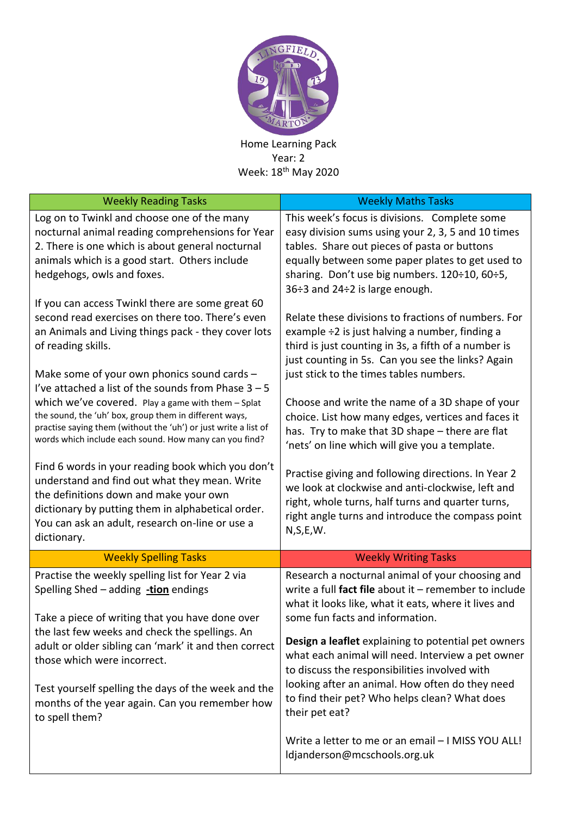

Home Learning Pack Year: 2 Week: 18th May 2020

| <b>Weekly Reading Tasks</b>                                                                                                                                                                                                                                                                                                                                                                                      | <b>Weekly Maths Tasks</b>                                                                                                                                                                                                                                                                                                                                                                                                                                                                                                                                                                                                                                                                                        |  |  |  |
|------------------------------------------------------------------------------------------------------------------------------------------------------------------------------------------------------------------------------------------------------------------------------------------------------------------------------------------------------------------------------------------------------------------|------------------------------------------------------------------------------------------------------------------------------------------------------------------------------------------------------------------------------------------------------------------------------------------------------------------------------------------------------------------------------------------------------------------------------------------------------------------------------------------------------------------------------------------------------------------------------------------------------------------------------------------------------------------------------------------------------------------|--|--|--|
| Log on to Twinkl and choose one of the many<br>nocturnal animal reading comprehensions for Year<br>2. There is one which is about general nocturnal<br>animals which is a good start. Others include<br>hedgehogs, owls and foxes.                                                                                                                                                                               | This week's focus is divisions. Complete some<br>easy division sums using your 2, 3, 5 and 10 times<br>tables. Share out pieces of pasta or buttons<br>equally between some paper plates to get used to<br>sharing. Don't use big numbers. 120÷10, 60÷5,<br>36:3 and 24:2 is large enough.                                                                                                                                                                                                                                                                                                                                                                                                                       |  |  |  |
| If you can access Twinkl there are some great 60<br>second read exercises on there too. There's even<br>an Animals and Living things pack - they cover lots<br>of reading skills.<br>Make some of your own phonics sound cards -                                                                                                                                                                                 | Relate these divisions to fractions of numbers. For<br>example ÷2 is just halving a number, finding a<br>third is just counting in 3s, a fifth of a number is<br>just counting in 5s. Can you see the links? Again<br>just stick to the times tables numbers.<br>Choose and write the name of a 3D shape of your<br>choice. List how many edges, vertices and faces it<br>has. Try to make that 3D shape - there are flat<br>'nets' on line which will give you a template.<br>Practise giving and following directions. In Year 2<br>we look at clockwise and anti-clockwise, left and<br>right, whole turns, half turns and quarter turns,<br>right angle turns and introduce the compass point<br>N, S, E, W. |  |  |  |
| I've attached a list of the sounds from Phase $3 - 5$<br>which we've covered. Play a game with them - Splat<br>the sound, the 'uh' box, group them in different ways,<br>practise saying them (without the 'uh') or just write a list of<br>words which include each sound. How many can you find?                                                                                                               |                                                                                                                                                                                                                                                                                                                                                                                                                                                                                                                                                                                                                                                                                                                  |  |  |  |
| Find 6 words in your reading book which you don't<br>understand and find out what they mean. Write<br>the definitions down and make your own<br>dictionary by putting them in alphabetical order.<br>You can ask an adult, research on-line or use a<br>dictionary.                                                                                                                                              |                                                                                                                                                                                                                                                                                                                                                                                                                                                                                                                                                                                                                                                                                                                  |  |  |  |
| <b>Weekly Spelling Tasks</b>                                                                                                                                                                                                                                                                                                                                                                                     | <b>Weekly Writing Tasks</b>                                                                                                                                                                                                                                                                                                                                                                                                                                                                                                                                                                                                                                                                                      |  |  |  |
| Practise the weekly spelling list for Year 2 via<br>Spelling Shed - adding -tion endings<br>Take a piece of writing that you have done over<br>the last few weeks and check the spellings. An<br>adult or older sibling can 'mark' it and then correct<br>those which were incorrect.<br>Test yourself spelling the days of the week and the<br>months of the year again. Can you remember how<br>to spell them? | Research a nocturnal animal of your choosing and<br>write a full fact file about it - remember to include<br>what it looks like, what it eats, where it lives and<br>some fun facts and information.<br><b>Design a leaflet</b> explaining to potential pet owners<br>what each animal will need. Interview a pet owner<br>to discuss the responsibilities involved with<br>looking after an animal. How often do they need<br>to find their pet? Who helps clean? What does<br>their pet eat?                                                                                                                                                                                                                   |  |  |  |
|                                                                                                                                                                                                                                                                                                                                                                                                                  | Write a letter to me or an email - I MISS YOU ALL!<br>ldjanderson@mcschools.org.uk                                                                                                                                                                                                                                                                                                                                                                                                                                                                                                                                                                                                                               |  |  |  |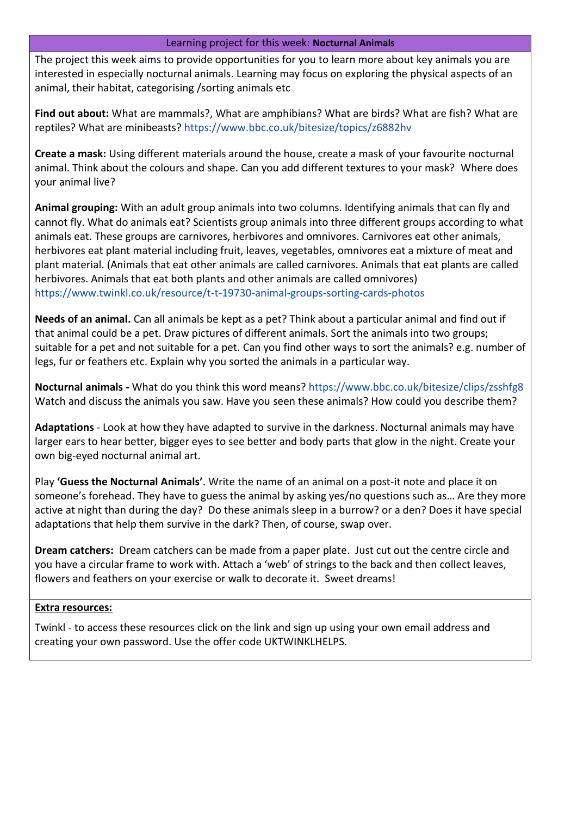## Learning project for this week: **Nocturnal Animals**

The project this week aims to provide opportunities for you to learn more about key animals you are interested in especially nocturnal animals. Learning may focus on exploring the physical aspects of an animal, their habitat, categorising /sorting animals etc

**Find out about:** What are mammals?, What are amphibians? What are birds? What are fish? What are reptiles? What are minibeasts? https://www.bbc.co.uk/bitesize/topics/z6882hv

**Create a mask:** Using different materials around the house, create a mask of your favourite nocturnal animal. Think about the colours and shape. Can you add different textures to your mask? Where does your animal live?

**Animal grouping:** With an adult group animals into two columns. Identifying animals that can fly and cannot fly. What do animals eat? Scientists group animals into three different groups according to what animals eat. These groups are carnivores, herbivores and omnivores. Carnivores eat other animals, herbivores eat plant material including fruit, leaves, vegetables, omnivores eat a mixture of meat and plant material. (Animals that eat other animals are called carnivores. Animals that eat plants are called herbivores. Animals that eat both plants and other animals are called omnivores) https://www.twinkl.co.uk/resource/t-t-19730-animal-groups-sorting-cards-photos

**Needs of an animal.** Can all animals be kept as a pet? Think about a particular animal and find out if that animal could be a pet. Draw pictures of different animals. Sort the animals into two groups; suitable for a pet and not suitable for a pet. Can you find other ways to sort the animals? e.g. number of legs, fur or feathers etc. Explain why you sorted the animals in a particular way.

**Nocturnal animals -** What do you think this word means? https://www.bbc.co.uk/bitesize/clips/zsshfg8 Watch and discuss the animals you saw. Have you seen these animals? How could you describe them?

**Adaptations** - Look at how they have adapted to survive in the darkness. Nocturnal animals may have larger ears to hear better, bigger eyes to see better and body parts that glow in the night. Create your own big-eyed nocturnal animal art.

Play **'Guess the Nocturnal Animals'**. Write the name of an animal on a post-it note and place it on someone's forehead. They have to guess the animal by asking yes/no questions such as… Are they more active at night than during the day? Do these animals sleep in a burrow? or a den? Does it have special adaptations that help them survive in the dark? Then, of course, swap over.

**Dream catchers:** Dream catchers can be made from a paper plate. Just cut out the centre circle and you have a circular frame to work with. Attach a 'web' of strings to the back and then collect leaves, flowers and feathers on your exercise or walk to decorate it. Sweet dreams!

## **Extra resources:**

Twinkl - to access these resources click on the link and sign up using your own email address and creating your own password. Use the offer code UKTWINKLHELPS.